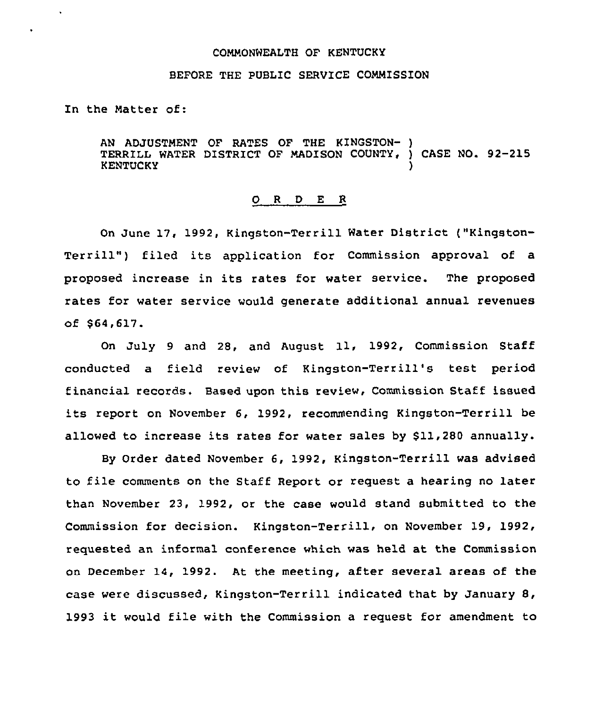#### CONNONWEALTH OF KENTUCKY

### BEFORE THE PUBLIC SERVICE COMMISSION

In the Natter of:

AN ADJUSTNENT OF RATES OF THE KINGSTON- ) TERRILL WATER DISTRICT OF MADISON COUNTY, ) CASE NO. 92-215 **KENTUCKY** 

### 0 <sup>R</sup> <sup>D</sup> E <sup>R</sup>

On June 17, 1992, Kingston-Terrill Water District ("Kingston-Terrill") filed its application for Commission approval of a proposed increase in its rates for water service. The proposed rates for water service would generate additional annual revenues  $of $64,617.$ 

On July <sup>9</sup> and 28, and August 11, 1992, Commission Staff conducted a field review of Kingston-Terrill's test period financial records. Based upon this review, Commission Staff issued its report on November 6, 1992, recommending Kingston-Terrill be allowed to increase its rates for water sales by \$11,280 annually.

By Order dated November 6, 1992, Kingston-Terrill was advised to file comments on the Staff Report, or request a hearing no later than November 23, 1992, or the case would stand submitted to the Commission for decision. Kingston-Terrill, on November 19, 1992, requested an informal conference which was held at the Commission on December 14, 1992. At the meeting, after several areas of the case were discussed, Kingston-Terrill indicated that by January B, 1993 it would file with the Commission <sup>a</sup> request for amendment to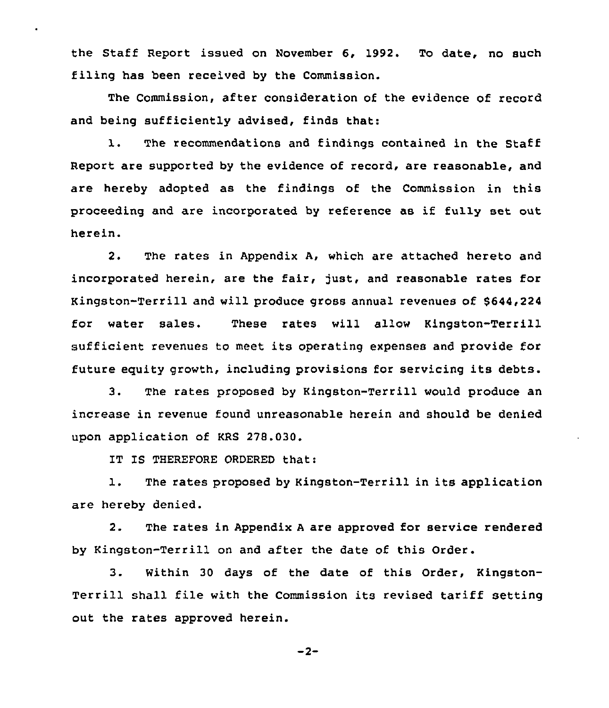the Staff Report issued on November 6, 1992. To date, no such filing has been received by the Commission.

The Commission, after consideration of the evidence of record and being sufficiently advised, finds that:

1. The recommendations and findings contained in the Staff Report are supported by the evidence of record, are reasonable, and are hereby adopted as the findings of the Commission in this proceeding and are incorporated by reference as if fully set out herein.

2. The rates in Appendix A, which are attached hereto and incorporated herein, are the fair, just, and reasonable rates for Kingston-Terrill and will produce gross annual revenues of 6644,224 for water sales. These rates will allow Kingston-Terrill sufficient revenues to meet its operating expenses and provide for future equity growth, including provisions for servicing its debts.

3. The rates proposed by Kingston-Terrill would produce an increase in revenue found unreasonable herein and should be denied upon application of KRS 278.030.

IT IS THEREFORE ORDERED that:

1. The rates proposed by Kingston-Terrill in its application are hereby denied.

2. The rates in Appendix <sup>A</sup> are approved for service rendered by Kingston-Terrill on and after the date of this Order.

3. Within <sup>30</sup> days of the date of this Order, Kingston-Terrill shall file with the Commission its revised tariff setting out the rates approved herein.

 $-2-$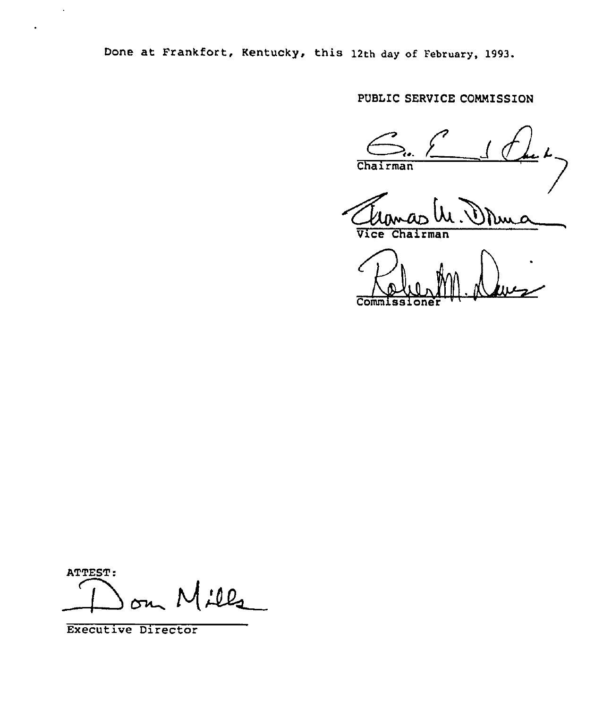Done at Frankfort, Kentucky, this 12th day of February, 1993.

PUBLIC SERVICE COMMISSION

Chairman

 $\overline{\text{Vice}}$ rman

Commissione

**ATTEST:**  $ILS$ —|−

Executive Director

 $\ddot{\phantom{a}}$ 

 $\cdot$